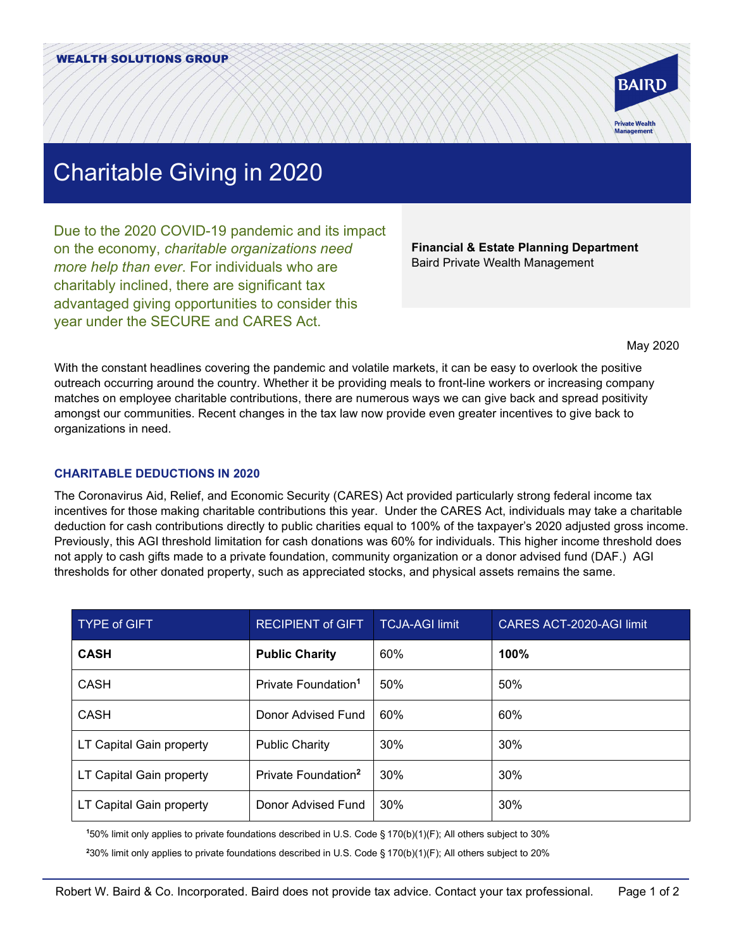

# Charitable Giving in 2020

Due to the 2020 COVID-19 pandemic and its impact on the economy, *charitable organizations need more help than ever*. For individuals who are charitably inclined, there are significant tax advantaged giving opportunities to consider this year under the SECURE and CARES Act.

**Financial & Estate Planning Department** Baird Private Wealth Management

May 2020

With the constant headlines covering the pandemic and volatile markets, it can be easy to overlook the positive outreach occurring around the country. Whether it be providing meals to front-line workers or increasing company matches on employee charitable contributions, there are numerous ways we can give back and spread positivity amongst our communities. Recent changes in the tax law now provide even greater incentives to give back to organizations in need.

## **CHARITABLE DEDUCTIONS IN 2020**

The Coronavirus Aid, Relief, and Economic Security (CARES) Act provided particularly strong federal income tax incentives for those making charitable contributions this year. Under the CARES Act, individuals may take a charitable deduction for cash contributions directly to public charities equal to 100% of the taxpayer's 2020 adjusted gross income. Previously, this AGI threshold limitation for cash donations was 60% for individuals. This higher income threshold does not apply to cash gifts made to a private foundation, community organization or a donor advised fund (DAF.) AGI thresholds for other donated property, such as appreciated stocks, and physical assets remains the same.

| <b>TYPE of GIFT</b>      | <b>RECIPIENT of GIFT</b>        | <b>TCJA-AGI limit</b> | CARES ACT-2020-AGI limit |
|--------------------------|---------------------------------|-----------------------|--------------------------|
| <b>CASH</b>              | <b>Public Charity</b>           | 60%                   | 100%                     |
| CASH                     | Private Foundation <sup>1</sup> | 50%                   | 50%                      |
| CASH                     | Donor Advised Fund              | 60%                   | 60%                      |
| LT Capital Gain property | <b>Public Charity</b>           | 30%                   | 30%                      |
| LT Capital Gain property | Private Foundation <sup>2</sup> | 30%                   | 30%                      |
| LT Capital Gain property | Donor Advised Fund              | 30%                   | 30%                      |

**1** 50% limit only applies to private foundations described in U.S. Code § 170(b)(1)(F); All others subject to 30%

**2** 30% limit only applies to private foundations described in U.S. Code § 170(b)(1)(F); All others subject to 20%